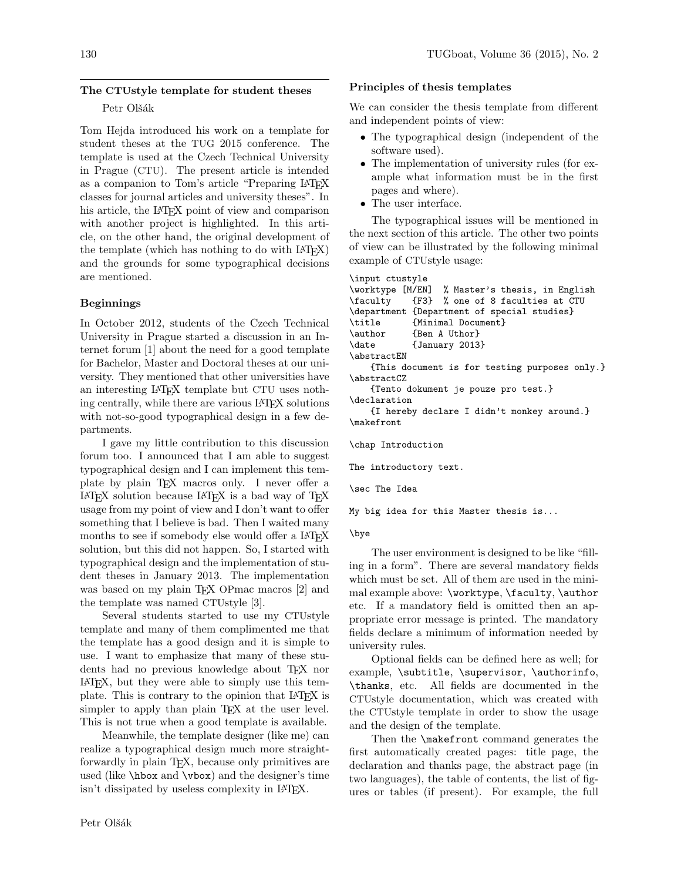# The CTUstyle template for student theses Petr Olšák

## Tom Hejda introduced his work on a template for student theses at the TUG 2015 conference. The template is used at the Czech Technical University in Prague (CTU). The present article is intended as a companion to Tom's article "Preparing LATEX classes for journal articles and university theses". In his article, the LAT<sub>F</sub>X point of view and comparison with another project is highlighted. In this article, on the other hand, the original development of the template (which has nothing to do with LATEX) and the grounds for some typographical decisions are mentioned.

## Beginnings

In October 2012, students of the Czech Technical University in Prague started a discussion in an Internet forum [1] about the need for a good template for Bachelor, Master and Doctoral theses at our university. They mentioned that other universities have an interesting LATEX template but CTU uses nothing centrally, while there are various LATEX solutions with not-so-good typographical design in a few departments.

I gave my little contribution to this discussion forum too. I announced that I am able to suggest typographical design and I can implement this template by plain TEX macros only. I never offer a LATEX solution because LATEX is a bad way of TEX usage from my point of view and I don't want to offer something that I believe is bad. Then I waited many months to see if somebody else would offer a LAT<sub>EX</sub> solution, but this did not happen. So, I started with typographical design and the implementation of student theses in January 2013. The implementation was based on my plain T<sub>EX</sub> OPmac macros [2] and the template was named CTUstyle [3].

Several students started to use my CTUstyle template and many of them complimented me that the template has a good design and it is simple to use. I want to emphasize that many of these students had no previous knowledge about TEX nor LATEX, but they were able to simply use this template. This is contrary to the opinion that LAT<sub>F</sub>X is simpler to apply than plain T<sub>E</sub>X at the user level. This is not true when a good template is available.

Meanwhile, the template designer (like me) can realize a typographical design much more straightforwardly in plain TEX, because only primitives are used (like \hbox and \vbox) and the designer's time isn't dissipated by useless complexity in LATEX.

### Principles of thesis templates

We can consider the thesis template from different and independent points of view:

- The typographical design (independent of the software used).
- The implementation of university rules (for example what information must be in the first pages and where).
- The user interface.

The typographical issues will be mentioned in the next section of this article. The other two points of view can be illustrated by the following minimal example of CTUstyle usage:

```
\input ctustyle
\worktype [M/EN] % Master's thesis, in English
\faculty {F3} % one of 8 faculties at CTU
\department {Department of special studies}
\title {Minimal Document}
\author {Ben A Uthor}
\date {January 2013}
\abstractEN
   {This document is for testing purposes only.}
\abstractCZ
   {Tento dokument je pouze pro test.}
\declaration
   {I hereby declare I didn't monkey around.}
\makefront
```
\chap Introduction

The introductory text.

\sec The Idea

My big idea for this Master thesis is...

\bye

The user environment is designed to be like "filling in a form". There are several mandatory fields which must be set. All of them are used in the minimal example above: \worktype, \faculty, \author etc. If a mandatory field is omitted then an appropriate error message is printed. The mandatory fields declare a minimum of information needed by university rules.

Optional fields can be defined here as well; for example, \subtitle, \supervisor, \authorinfo, \thanks, etc. All fields are documented in the CTUstyle documentation, which was created with the CTUstyle template in order to show the usage and the design of the template.

Then the \makefront command generates the first automatically created pages: title page, the declaration and thanks page, the abstract page (in two languages), the table of contents, the list of figures or tables (if present). For example, the full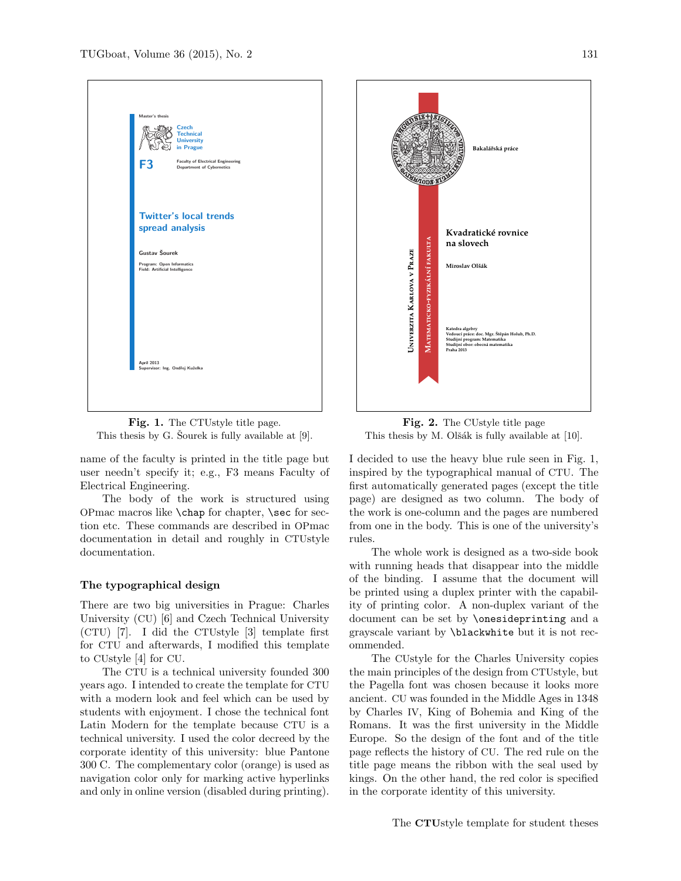

Fig. 1. The CTUstyle title page. This thesis by G. Sourek is fully available at  $[9]$ .

name of the faculty is printed in the title page but user needn't specify it; e.g., F3 means Faculty of Electrical Engineering.

The body of the work is structured using OPmac macros like \chap for chapter, \sec for section etc. These commands are described in OPmac documentation in detail and roughly in CTUstyle documentation.

### The typographical design

There are two big universities in Prague: Charles University (CU) [6] and Czech Technical University (CTU) [7]. I did the CTUstyle [3] template first for CTU and afterwards, I modified this template to CUstyle [4] for CU.

The CTU is a technical university founded 300 years ago. I intended to create the template for CTU with a modern look and feel which can be used by students with enjoyment. I chose the technical font Latin Modern for the template because CTU is a technical university. I used the color decreed by the corporate identity of this university: blue Pantone 300 C. The complementary color (orange) is used as navigation color only for marking active hyperlinks and only in online version (disabled during printing).



Fig. 2. The CUstyle title page This thesis by M. Olšák is fully available at  $[10]$ .

I decided to use the heavy blue rule seen in Fig. 1, inspired by the typographical manual of CTU. The first automatically generated pages (except the title page) are designed as two column. The body of the work is one-column and the pages are numbered from one in the body. This is one of the university's rules.

The whole work is designed as a two-side book with running heads that disappear into the middle of the binding. I assume that the document will be printed using a duplex printer with the capability of printing color. A non-duplex variant of the document can be set by \onesideprinting and a grayscale variant by \blackwhite but it is not recommended.

The CUstyle for the Charles University copies the main principles of the design from CTUstyle, but the Pagella font was chosen because it looks more ancient. CU was founded in the Middle Ages in 1348 by Charles IV, King of Bohemia and King of the Romans. It was the first university in the Middle Europe. So the design of the font and of the title page reflects the history of CU. The red rule on the title page means the ribbon with the seal used by kings. On the other hand, the red color is specified in the corporate identity of this university.